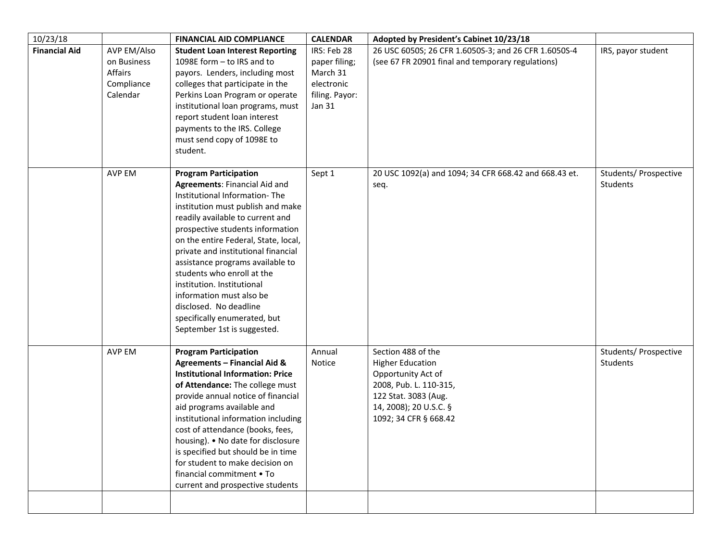| IRS, payor student                | Adopted by President's Cabinet 10/23/18                                                                                                                                  | <b>CALENDAR</b>                                                                    | <b>FINANCIAL AID COMPLIANCE</b>                                                                                                                                                                                                                                                                                                                                                                                                                                                                                        |                                                                 | 10/23/18             |
|-----------------------------------|--------------------------------------------------------------------------------------------------------------------------------------------------------------------------|------------------------------------------------------------------------------------|------------------------------------------------------------------------------------------------------------------------------------------------------------------------------------------------------------------------------------------------------------------------------------------------------------------------------------------------------------------------------------------------------------------------------------------------------------------------------------------------------------------------|-----------------------------------------------------------------|----------------------|
|                                   | 26 USC 6050S; 26 CFR 1.6050S-3; and 26 CFR 1.6050S-4<br>(see 67 FR 20901 final and temporary regulations)                                                                | IRS: Feb 28<br>paper filing;<br>March 31<br>electronic<br>filing. Payor:<br>Jan 31 | <b>Student Loan Interest Reporting</b><br>1098E form - to IRS and to<br>payors. Lenders, including most<br>colleges that participate in the<br>Perkins Loan Program or operate<br>institutional loan programs, must<br>report student loan interest<br>payments to the IRS. College<br>must send copy of 1098E to<br>student.                                                                                                                                                                                          | AVP EM/Also<br>on Business<br>Affairs<br>Compliance<br>Calendar | <b>Financial Aid</b> |
| Students/ Prospective<br>Students | 20 USC 1092(a) and 1094; 34 CFR 668.42 and 668.43 et.<br>seq.                                                                                                            | Sept 1                                                                             | <b>Program Participation</b><br><b>Agreements: Financial Aid and</b><br>Institutional Information-The<br>institution must publish and make<br>readily available to current and<br>prospective students information<br>on the entire Federal, State, local,<br>private and institutional financial<br>assistance programs available to<br>students who enroll at the<br>institution. Institutional<br>information must also be<br>disclosed. No deadline<br>specifically enumerated, but<br>September 1st is suggested. | AVP EM                                                          |                      |
| Students/ Prospective<br>Students | Section 488 of the<br><b>Higher Education</b><br>Opportunity Act of<br>2008, Pub. L. 110-315,<br>122 Stat. 3083 (Aug.<br>14, 2008); 20 U.S.C. §<br>1092; 34 CFR § 668.42 | Annual<br>Notice                                                                   | <b>Program Participation</b><br><b>Agreements - Financial Aid &amp;</b><br><b>Institutional Information: Price</b><br>of Attendance: The college must<br>provide annual notice of financial<br>aid programs available and<br>institutional information including<br>cost of attendance (books, fees,<br>housing). • No date for disclosure<br>is specified but should be in time<br>for student to make decision on<br>financial commitment • To<br>current and prospective students                                   | AVP EM                                                          |                      |
|                                   |                                                                                                                                                                          |                                                                                    |                                                                                                                                                                                                                                                                                                                                                                                                                                                                                                                        |                                                                 |                      |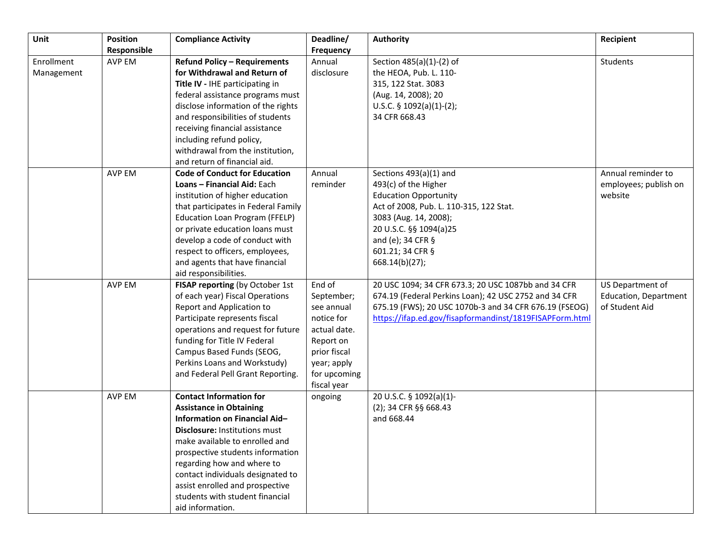| Unit                     | <b>Position</b><br>Responsible | <b>Compliance Activity</b>                                                                                                                                                                                                                                                                                                                                                   | Deadline/<br>Frequency                                                                                                                      | <b>Authority</b>                                                                                                                                                                                                                        | Recipient                                                          |
|--------------------------|--------------------------------|------------------------------------------------------------------------------------------------------------------------------------------------------------------------------------------------------------------------------------------------------------------------------------------------------------------------------------------------------------------------------|---------------------------------------------------------------------------------------------------------------------------------------------|-----------------------------------------------------------------------------------------------------------------------------------------------------------------------------------------------------------------------------------------|--------------------------------------------------------------------|
| Enrollment<br>Management | AVP EM                         | <b>Refund Policy - Requirements</b><br>for Withdrawal and Return of<br>Title IV - IHE participating in<br>federal assistance programs must<br>disclose information of the rights<br>and responsibilities of students<br>receiving financial assistance<br>including refund policy,<br>withdrawal from the institution,<br>and return of financial aid.                       | Annual<br>disclosure                                                                                                                        | Section 485(a)(1)-(2) of<br>the HEOA, Pub. L. 110-<br>315, 122 Stat. 3083<br>(Aug. 14, 2008); 20<br>U.S.C. $\S$ 1092(a)(1)-(2);<br>34 CFR 668.43                                                                                        | Students                                                           |
|                          | AVP EM                         | <b>Code of Conduct for Education</b><br>Loans - Financial Aid: Each<br>institution of higher education<br>that participates in Federal Family<br>Education Loan Program (FFELP)<br>or private education loans must<br>develop a code of conduct with<br>respect to officers, employees,<br>and agents that have financial<br>aid responsibilities.                           | Annual<br>reminder                                                                                                                          | Sections 493(a)(1) and<br>493(c) of the Higher<br><b>Education Opportunity</b><br>Act of 2008, Pub. L. 110-315, 122 Stat.<br>3083 (Aug. 14, 2008);<br>20 U.S.C. §§ 1094(a)25<br>and (e); 34 CFR §<br>601.21; 34 CFR §<br>668.14(b)(27); | Annual reminder to<br>employees; publish on<br>website             |
|                          | <b>AVP EM</b>                  | FISAP reporting (by October 1st<br>of each year) Fiscal Operations<br>Report and Application to<br>Participate represents fiscal<br>operations and request for future<br>funding for Title IV Federal<br>Campus Based Funds (SEOG,<br>Perkins Loans and Workstudy)<br>and Federal Pell Grant Reporting.                                                                      | End of<br>September;<br>see annual<br>notice for<br>actual date.<br>Report on<br>prior fiscal<br>year; apply<br>for upcoming<br>fiscal year | 20 USC 1094; 34 CFR 673.3; 20 USC 1087bb and 34 CFR<br>674.19 (Federal Perkins Loan); 42 USC 2752 and 34 CFR<br>675.19 (FWS); 20 USC 1070b-3 and 34 CFR 676.19 (FSEOG)<br>https://ifap.ed.gov/fisapformandinst/1819FISAPForm.html       | US Department of<br><b>Education, Department</b><br>of Student Aid |
|                          | AVP EM                         | <b>Contact Information for</b><br><b>Assistance in Obtaining</b><br>Information on Financial Aid-<br><b>Disclosure: Institutions must</b><br>make available to enrolled and<br>prospective students information<br>regarding how and where to<br>contact individuals designated to<br>assist enrolled and prospective<br>students with student financial<br>aid information. | ongoing                                                                                                                                     | 20 U.S.C. § 1092(a)(1)-<br>(2); 34 CFR §§ 668.43<br>and 668.44                                                                                                                                                                          |                                                                    |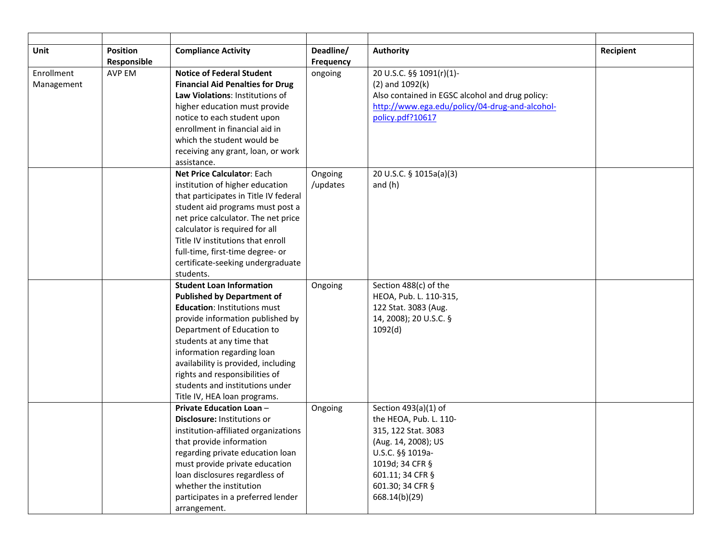| Unit       | <b>Position</b> | <b>Compliance Activity</b>                                         | Deadline/ | <b>Authority</b>                                | Recipient |
|------------|-----------------|--------------------------------------------------------------------|-----------|-------------------------------------------------|-----------|
|            | Responsible     |                                                                    | Frequency |                                                 |           |
| Enrollment | <b>AVP EM</b>   | <b>Notice of Federal Student</b>                                   | ongoing   | 20 U.S.C. §§ 1091(r)(1)-                        |           |
| Management |                 | <b>Financial Aid Penalties for Drug</b>                            |           | $(2)$ and $1092(k)$                             |           |
|            |                 | Law Violations: Institutions of                                    |           | Also contained in EGSC alcohol and drug policy: |           |
|            |                 | higher education must provide                                      |           | http://www.ega.edu/policy/04-drug-and-alcohol-  |           |
|            |                 | notice to each student upon                                        |           | policy.pdf?10617                                |           |
|            |                 | enrollment in financial aid in                                     |           |                                                 |           |
|            |                 | which the student would be                                         |           |                                                 |           |
|            |                 | receiving any grant, loan, or work                                 |           |                                                 |           |
|            |                 | assistance.                                                        |           |                                                 |           |
|            |                 | <b>Net Price Calculator: Each</b>                                  | Ongoing   | 20 U.S.C. § 1015a(a)(3)                         |           |
|            |                 | institution of higher education                                    | /updates  | and $(h)$                                       |           |
|            |                 | that participates in Title IV federal                              |           |                                                 |           |
|            |                 | student aid programs must post a                                   |           |                                                 |           |
|            |                 | net price calculator. The net price                                |           |                                                 |           |
|            |                 | calculator is required for all                                     |           |                                                 |           |
|            |                 | Title IV institutions that enroll                                  |           |                                                 |           |
|            |                 | full-time, first-time degree- or                                   |           |                                                 |           |
|            |                 | certificate-seeking undergraduate                                  |           |                                                 |           |
|            |                 | students.                                                          |           |                                                 |           |
|            |                 | <b>Student Loan Information</b>                                    | Ongoing   | Section 488(c) of the                           |           |
|            |                 | <b>Published by Department of</b>                                  |           | HEOA, Pub. L. 110-315,                          |           |
|            |                 | <b>Education: Institutions must</b>                                |           | 122 Stat. 3083 (Aug.                            |           |
|            |                 | provide information published by                                   |           | 14, 2008); 20 U.S.C. §                          |           |
|            |                 | Department of Education to                                         |           | 1092(d)                                         |           |
|            |                 | students at any time that                                          |           |                                                 |           |
|            |                 | information regarding loan                                         |           |                                                 |           |
|            |                 | availability is provided, including                                |           |                                                 |           |
|            |                 | rights and responsibilities of                                     |           |                                                 |           |
|            |                 | students and institutions under                                    |           |                                                 |           |
|            |                 | Title IV, HEA loan programs.                                       |           |                                                 |           |
|            |                 | <b>Private Education Loan -</b>                                    | Ongoing   | Section 493(a)(1) of                            |           |
|            |                 | Disclosure: Institutions or                                        |           | the HEOA, Pub. L. 110-                          |           |
|            |                 | institution-affiliated organizations                               |           | 315, 122 Stat. 3083                             |           |
|            |                 | that provide information                                           |           | (Aug. 14, 2008); US                             |           |
|            |                 | regarding private education loan<br>must provide private education |           | U.S.C. §§ 1019a-<br>1019d; 34 CFR §             |           |
|            |                 | loan disclosures regardless of                                     |           | 601.11; 34 CFR §                                |           |
|            |                 | whether the institution                                            |           | 601.30; 34 CFR §                                |           |
|            |                 | participates in a preferred lender                                 |           | 668.14(b)(29)                                   |           |
|            |                 | arrangement.                                                       |           |                                                 |           |
|            |                 |                                                                    |           |                                                 |           |